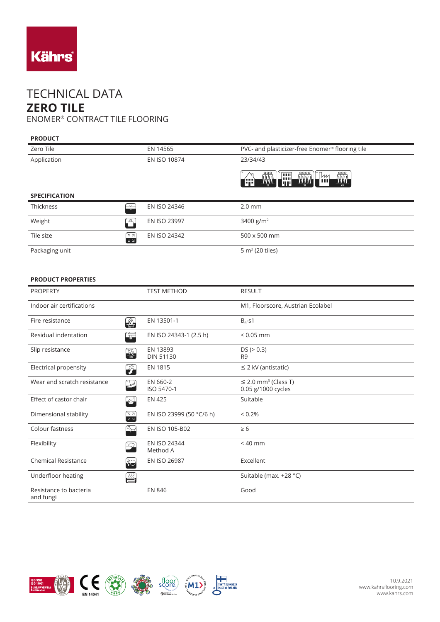

## TECHNICAL DATA **ZERO TILE** ENOMER® CONTRACT TILE FLOORING

## **PRODUCT**

| Zero Tile            |                                                           | EN 14565            | PVC- and plasticizer-free Enomer <sup>®</sup> flooring tile                                                                             |
|----------------------|-----------------------------------------------------------|---------------------|-----------------------------------------------------------------------------------------------------------------------------------------|
| Application          |                                                           | EN ISO 10874        | 23/34/43                                                                                                                                |
|                      |                                                           |                     | <b>THA</b><br><b>THEA</b><br>$\frac{\int \prod_{i=1}^{N} x_i}{\int \prod_{i=1}^{N} x_i}$<br>`[iiiii]<br>WИ<br>. Juni 1<br>ш<br>T٣<br>lm |
| <b>SPECIFICATION</b> |                                                           |                     |                                                                                                                                         |
| Thickness            | $\overline{\phantom{1}}$                                  | EN ISO 24346        | $2.0$ mm                                                                                                                                |
| Weight               | $\mathcal{L}$                                             | <b>EN ISO 23997</b> | 3400 $g/m^2$                                                                                                                            |
| Tile size            | (ול⊼")<br>$\overline{\mathbb{K}}$ $\overline{\mathbb{N}}$ | EN ISO 24342        | 500 x 500 mm                                                                                                                            |
| Packaging unit       |                                                           |                     | $5 m2$ (20 tiles)                                                                                                                       |

## **PRODUCT PROPERTIES**

| <b>PROPERTY</b>                     |                                                                                        | <b>TEST METHOD</b>           | <b>RESULT</b>                                              |
|-------------------------------------|----------------------------------------------------------------------------------------|------------------------------|------------------------------------------------------------|
| Indoor air certifications           |                                                                                        |                              | M1, Floorscore, Austrian Ecolabel                          |
| Fire resistance                     | $\frac{1}{B_{\text{refl}}}$                                                            | EN 13501-1                   | $B_{fl}$ -s1                                               |
| Residual indentation                | t,                                                                                     | EN ISO 24343-1 (2.5 h)       | $< 0.05$ mm                                                |
| Slip resistance                     | <b>ARTISTS</b>                                                                         | EN 13893<br><b>DIN 51130</b> | DS (> 0.3)<br>R <sub>9</sub>                               |
| Electrical propensity               | 孕                                                                                      | EN 1815                      | $\leq$ 2 kV (antistatic)                                   |
| Wear and scratch resistance         |                                                                                        | EN 660-2<br>ISO 5470-1       | $\leq$ 2.0 mm <sup>3</sup> (Class T)<br>0.05 g/1000 cycles |
| Effect of castor chair              | $\mathbf{G}$                                                                           | <b>EN 425</b>                | Suitable                                                   |
| Dimensional stability               | $\begin{array}{c} \overbrace{K \, 3}^{\overbrace{2}} \\ \overline{K \, 3} \end{array}$ | EN ISO 23999 (50 °C/6 h)     | $< 0.2\%$                                                  |
| Colour fastness                     | $\rightarrow$                                                                          | EN ISO 105-B02               | $\geq 6$                                                   |
| Flexibility                         | <u>"42</u>                                                                             | EN ISO 24344<br>Method A     | $< 40$ mm                                                  |
| <b>Chemical Resistance</b>          | $\hat{\bm{\epsilon}}$                                                                  | EN ISO 26987                 | Excellent                                                  |
| Underfloor heating                  | ₩                                                                                      |                              | Suitable (max. +28 °C)                                     |
| Resistance to bacteria<br>and fungi |                                                                                        | <b>EN 846</b>                | Good                                                       |